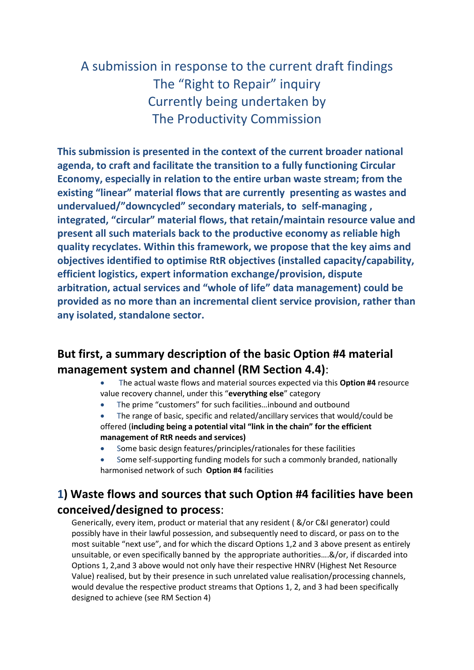# A submission in response to the current draft findings The "Right to Repair" inquiry Currently being undertaken by The Productivity Commission

**This submission is presented in the context of the current broader national agenda, to craft and facilitate the transition to a fully functioning Circular Economy, especially in relation to the entire urban waste stream; from the existing "linear" material flows that are currently presenting as wastes and undervalued/"downcycled" secondary materials, to self-managing , integrated, "circular" material flows, that retain/maintain resource value and present all such materials back to the productive economy as reliable high quality recyclates. Within this framework, we propose that the key aims and objectives identified to optimise RtR objectives (installed capacity/capability, efficient logistics, expert information exchange/provision, dispute arbitration, actual services and "whole of life" data management) could be provided as no more than an incremental client service provision, rather than any isolated, standalone sector.**

# **But first, a summary description of the basic Option #4 material management system and channel (RM Section 4.4)**:

- The actual waste flows and material sources expected via this **Option #4** resource value recovery channel, under this "**everything else**" category
- The prime "customers" for such facilities…inbound and outbound
- The range of basic, specific and related/ancillary services that would/could be offered (**including being a potential vital "link in the chain" for the efficient management of RtR needs and services)**
- Some basic design features/principles/rationales for these facilities
- Some self-supporting funding models for such a commonly branded, nationally harmonised network of such **Option #4** facilities

# **1) Waste flows and sources that such Option #4 facilities have been conceived/designed to process**:

Generically, every item, product or material that any resident ( &/or C&I generator) could possibly have in their lawful possession, and subsequently need to discard, or pass on to the most suitable "next use", and for which the discard Options 1,2 and 3 above present as entirely unsuitable, or even specifically banned by the appropriate authorities….&/or, if discarded into Options 1, 2,and 3 above would not only have their respective HNRV (Highest Net Resource Value) realised, but by their presence in such unrelated value realisation/processing channels, would devalue the respective product streams that Options 1, 2, and 3 had been specifically designed to achieve (see RM Section 4)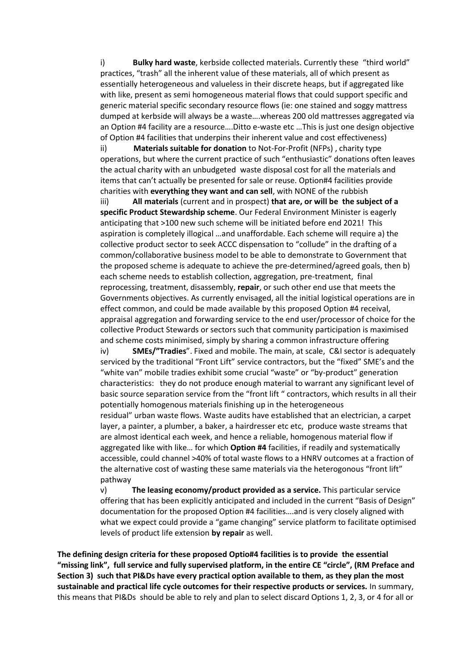i) **Bulky hard waste**, kerbside collected materials. Currently these "third world" practices, "trash" all the inherent value of these materials, all of which present as essentially heterogeneous and valueless in their discrete heaps, but if aggregated like with like, present as semi homogeneous material flows that could support specific and generic material specific secondary resource flows (ie: one stained and soggy mattress dumped at kerbside will always be a waste….whereas 200 old mattresses aggregated via an Option #4 facility are a resource….Ditto e-waste etc …This is just one design objective of Option #4 facilities that underpins their inherent value and cost effectiveness)

ii) **Materials suitable for donation** to Not-For-Profit (NFPs) , charity type operations, but where the current practice of such "enthusiastic" donations often leaves the actual charity with an unbudgeted waste disposal cost for all the materials and items that can't actually be presented for sale or reuse. Option#4 facilities provide charities with **everything they want and can sell**, with NONE of the rubbish

iii) **All materials** (current and in prospect) **that are, or will be the subject of a specific Product Stewardship scheme**. Our Federal Environment Minister is eagerly anticipating that >100 new such scheme will be initiated before end 2021! This aspiration is completely illogical …and unaffordable. Each scheme will require a) the collective product sector to seek ACCC dispensation to "collude" in the drafting of a common/collaborative business model to be able to demonstrate to Government that the proposed scheme is adequate to achieve the pre-determined/agreed goals, then b) each scheme needs to establish collection, aggregation, pre-treatment, final reprocessing, treatment, disassembly, **repair**, or such other end use that meets the Governments objectives. As currently envisaged, all the initial logistical operations are in effect common, and could be made available by this proposed Option #4 receival, appraisal aggregation and forwarding service to the end user/processor of choice for the collective Product Stewards or sectors such that community participation is maximised and scheme costs minimised, simply by sharing a common infrastructure offering

iv) **SMEs/"Tradies**". Fixed and mobile. The main, at scale, C&I sector is adequately serviced by the traditional "Front Lift" service contractors, but the "fixed" SME's and the "white van" mobile tradies exhibit some crucial "waste" or "by-product" generation characteristics: they do not produce enough material to warrant any significant level of basic source separation service from the "front lift " contractors, which results in all their potentially homogenous materials finishing up in the heterogeneous residual" urban waste flows. Waste audits have established that an electrician, a carpet layer, a painter, a plumber, a baker, a hairdresser etc etc, produce waste streams that are almost identical each week, and hence a reliable, homogenous material flow if aggregated like with like… for which **Option #4** facilities, if readily and systematically accessible, could channel >40% of total waste flows to a HNRV outcomes at a fraction of the alternative cost of wasting these same materials via the heterogonous "front lift" pathway

v) **The leasing economy/product provided as a service.** This particular service offering that has been explicitly anticipated and included in the current "Basis of Design" documentation for the proposed Option #4 facilities….and is very closely aligned with what we expect could provide a "game changing" service platform to facilitate optimised levels of product life extension **by repair** as well.

**The defining design criteria for these proposed Optio#4 facilities is to provide the essential "missing link", full service and fully supervised platform, in the entire CE "circle", (RM Preface and Section 3) such that PI&Ds have every practical option available to them, as they plan the most sustainable and practical life cycle outcomes for their respective products or services.** In summary, this means that PI&Ds should be able to rely and plan to select discard Options 1, 2, 3, or 4 for all or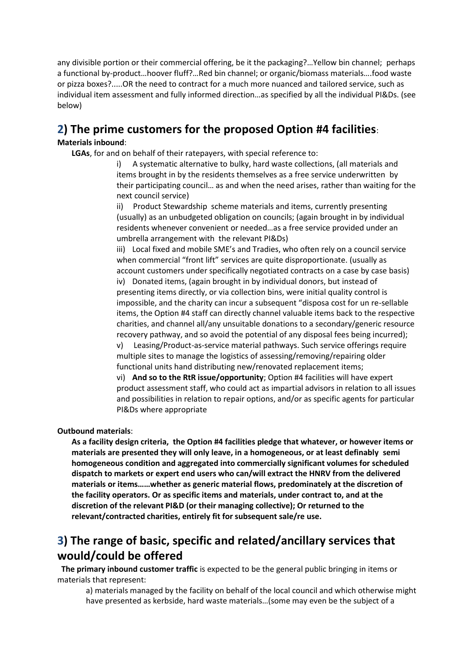any divisible portion or their commercial offering, be it the packaging?…Yellow bin channel; perhaps a functional by-product…hoover fluff?…Red bin channel; or organic/biomass materials….food waste or pizza boxes?.....OR the need to contract for a much more nuanced and tailored service, such as individual item assessment and fully informed direction…as specified by all the individual PI&Ds. (see below)

# **2) The prime customers for the proposed Option #4 facilities**:

## **Materials inbound**:

**LGAs**, for and on behalf of their ratepayers, with special reference to:

i) A systematic alternative to bulky, hard waste collections, (all materials and items brought in by the residents themselves as a free service underwritten by their participating council… as and when the need arises, rather than waiting for the next council service)

ii) Product Stewardship scheme materials and items, currently presenting (usually) as an unbudgeted obligation on councils; (again brought in by individual residents whenever convenient or needed…as a free service provided under an umbrella arrangement with the relevant PI&Ds)

iii) Local fixed and mobile SME's and Tradies, who often rely on a council service when commercial "front lift" services are quite disproportionate. (usually as account customers under specifically negotiated contracts on a case by case basis) iv) Donated items, (again brought in by individual donors, but instead of presenting items directly, or via collection bins, were initial quality control is impossible, and the charity can incur a subsequent "disposa cost for un re-sellable items, the Option #4 staff can directly channel valuable items back to the respective charities, and channel all/any unsuitable donations to a secondary/generic resource recovery pathway, and so avoid the potential of any disposal fees being incurred);

v) Leasing/Product-as-service material pathways. Such service offerings require multiple sites to manage the logistics of assessing/removing/repairing older functional units hand distributing new/renovated replacement items;

vi) **And so to the RtR issue/opportunity**; Option #4 facilities will have expert product assessment staff, who could act as impartial advisors in relation to all issues and possibilities in relation to repair options, and/or as specific agents for particular PI&Ds where appropriate

**Outbound materials**:

**As a facility design criteria, the Option #4 facilities pledge that whatever, or however items or materials are presented they will only leave, in a homogeneous, or at least definably semi homogeneous condition and aggregated into commercially significant volumes for scheduled dispatch to markets or expert end users who can/will extract the HNRV from the delivered materials or items……whether as generic material flows, predominately at the discretion of the facility operators. Or as specific items and materials, under contract to, and at the discretion of the relevant PI&D (or their managing collective); Or returned to the relevant/contracted charities, entirely fit for subsequent sale/re use.**

# **3) The range of basic, specific and related/ancillary services that would/could be offered**

**The primary inbound customer traffic** is expected to be the general public bringing in items or materials that represent:

a) materials managed by the facility on behalf of the local council and which otherwise might have presented as kerbside, hard waste materials…(some may even be the subject of a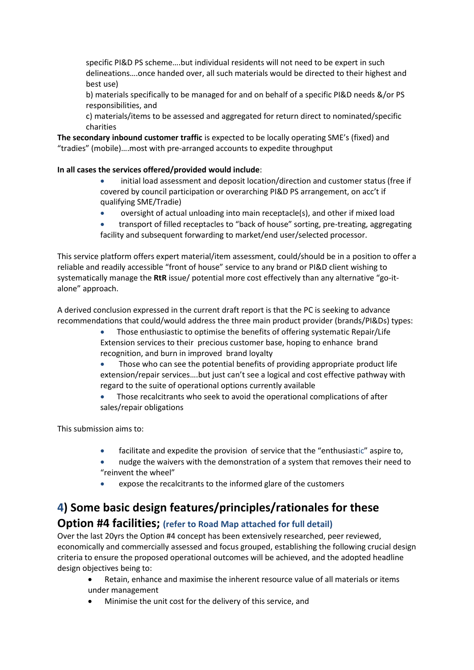specific PI&D PS scheme….but individual residents will not need to be expert in such delineations….once handed over, all such materials would be directed to their highest and best use)

b) materials specifically to be managed for and on behalf of a specific PI&D needs &/or PS responsibilities, and

c) materials/items to be assessed and aggregated for return direct to nominated/specific charities

**The secondary inbound customer traffic** is expected to be locally operating SME's (fixed) and "tradies" (mobile)….most with pre-arranged accounts to expedite throughput

**In all cases the services offered/provided would include**:

- initial load assessment and deposit location/direction and customer status (free if covered by council participation or overarching PI&D PS arrangement, on acc't if qualifying SME/Tradie)
- oversight of actual unloading into main receptacle(s), and other if mixed load
- transport of filled receptacles to "back of house" sorting, pre-treating, aggregating facility and subsequent forwarding to market/end user/selected processor.

This service platform offers expert material/item assessment, could/should be in a position to offer a reliable and readily accessible "front of house" service to any brand or PI&D client wishing to systematically manage the **RtR** issue/ potential more cost effectively than any alternative "go-italone" approach.

A derived conclusion expressed in the current draft report is that the PC is seeking to advance recommendations that could/would address the three main product provider (brands/PI&Ds) types:

- Those enthusiastic to optimise the benefits of offering systematic Repair/Life Extension services to their precious customer base, hoping to enhance brand recognition, and burn in improved brand loyalty
- Those who can see the potential benefits of providing appropriate product life extension/repair services….but just can't see a logical and cost effective pathway with regard to the suite of operational options currently available
- Those recalcitrants who seek to avoid the operational complications of after sales/repair obligations

This submission aims to:

- facilitate and expedite the provision of service that the "enthusiastic" aspire to,
- nudge the waivers with the demonstration of a system that removes their need to "reinvent the wheel"
- expose the recalcitrants to the informed glare of the customers

# **4) Some basic design features/principles/rationales for these**

## **Option #4 facilities; (refer to Road Map attached for full detail)**

Over the last 20yrs the Option #4 concept has been extensively researched, peer reviewed, economically and commercially assessed and focus grouped, establishing the following crucial design criteria to ensure the proposed operational outcomes will be achieved, and the adopted headline design objectives being to:

- Retain, enhance and maximise the inherent resource value of all materials or items under management
- Minimise the unit cost for the delivery of this service, and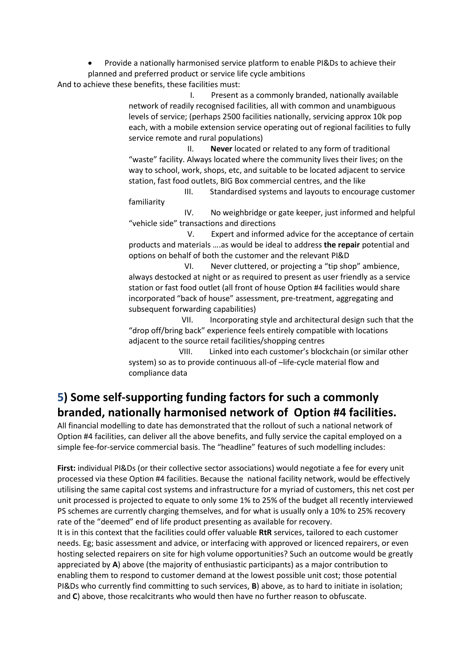• Provide a nationally harmonised service platform to enable PI&Ds to achieve their planned and preferred product or service life cycle ambitions

And to achieve these benefits, these facilities must:

 I. Present as a commonly branded, nationally available network of readily recognised facilities, all with common and unambiguous levels of service; (perhaps 2500 facilities nationally, servicing approx 10k pop each, with a mobile extension service operating out of regional facilities to fully service remote and rural populations)

 II. **Never** located or related to any form of traditional "waste" facility. Always located where the community lives their lives; on the way to school, work, shops, etc, and suitable to be located adjacent to service station, fast food outlets, BIG Box commercial centres, and the like

 III. Standardised systems and layouts to encourage customer familiarity

 IV. No weighbridge or gate keeper, just informed and helpful "vehicle side" transactions and directions

 V. Expert and informed advice for the acceptance of certain products and materials ….as would be ideal to address **the repair** potential and options on behalf of both the customer and the relevant PI&D

 VI. Never cluttered, or projecting a "tip shop" ambience, always destocked at night or as required to present as user friendly as a service station or fast food outlet (all front of house Option #4 facilities would share incorporated "back of house" assessment, pre-treatment, aggregating and subsequent forwarding capabilities)

 VII. Incorporating style and architectural design such that the "drop off/bring back" experience feels entirely compatible with locations adjacent to the source retail facilities/shopping centres

 VIII. Linked into each customer's blockchain (or similar other system) so as to provide continuous all-of-life-cycle material flow and compliance data

# **5) Some self-supporting funding factors for such a commonly branded, nationally harmonised network of Option #4 facilities.**

All financial modelling to date has demonstrated that the rollout of such a national network of Option #4 facilities, can deliver all the above benefits, and fully service the capital employed on a simple fee-for-service commercial basis. The "headline" features of such modelling includes:

**First:** individual PI&Ds (or their collective sector associations) would negotiate a fee for every unit processed via these Option #4 facilities. Because the national facility network, would be effectively utilising the same capital cost systems and infrastructure for a myriad of customers, this net cost per unit processed is projected to equate to only some 1% to 25% of the budget all recently interviewed PS schemes are currently charging themselves, and for what is usually only a 10% to 25% recovery rate of the "deemed" end of life product presenting as available for recovery.

It is in this context that the facilities could offer valuable **RtR** services, tailored to each customer needs. Eg; basic assessment and advice, or interfacing with approved or licenced repairers, or even hosting selected repairers on site for high volume opportunities? Such an outcome would be greatly appreciated by **A**) above (the majority of enthusiastic participants) as a major contribution to enabling them to respond to customer demand at the lowest possible unit cost; those potential PI&Ds who currently find committing to such services, **B**) above, as to hard to initiate in isolation; and **C**) above, those recalcitrants who would then have no further reason to obfuscate.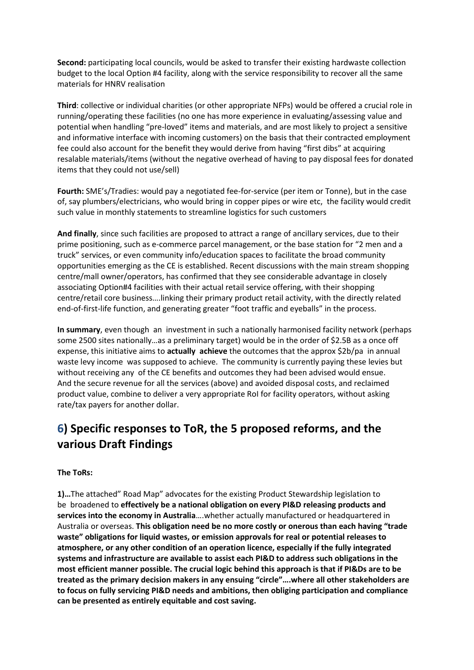**Second:** participating local councils, would be asked to transfer their existing hardwaste collection budget to the local Option #4 facility, along with the service responsibility to recover all the same materials for HNRV realisation

**Third**: collective or individual charities (or other appropriate NFPs) would be offered a crucial role in running/operating these facilities (no one has more experience in evaluating/assessing value and potential when handling "pre-loved" items and materials, and are most likely to project a sensitive and informative interface with incoming customers) on the basis that their contracted employment fee could also account for the benefit they would derive from having "first dibs" at acquiring resalable materials/items (without the negative overhead of having to pay disposal fees for donated items that they could not use/sell)

**Fourth:** SME's/Tradies: would pay a negotiated fee-for-service (per item or Tonne), but in the case of, say plumbers/electricians, who would bring in copper pipes or wire etc, the facility would credit such value in monthly statements to streamline logistics for such customers

**And finally**, since such facilities are proposed to attract a range of ancillary services, due to their prime positioning, such as e-commerce parcel management, or the base station for "2 men and a truck" services, or even community info/education spaces to facilitate the broad community opportunities emerging as the CE is established. Recent discussions with the main stream shopping centre/mall owner/operators, has confirmed that they see considerable advantage in closely associating Option#4 facilities with their actual retail service offering, with their shopping centre/retail core business….linking their primary product retail activity, with the directly related end-of-first-life function, and generating greater "foot traffic and eyeballs" in the process.

**In summary**, even though an investment in such a nationally harmonised facility network (perhaps some 2500 sites nationally…as a preliminary target) would be in the order of \$2.5B as a once off expense, this initiative aims to **actually achieve** the outcomes that the approx \$2b/pa in annual waste levy income was supposed to achieve. The community is currently paying these levies but without receiving any of the CE benefits and outcomes they had been advised would ensue. And the secure revenue for all the services (above) and avoided disposal costs, and reclaimed product value, combine to deliver a very appropriate RoI for facility operators, without asking rate/tax payers for another dollar.

# **6) Specific responses to ToR, the 5 proposed reforms, and the various Draft Findings**

## **The ToRs:**

**1)…**The attached" Road Map" advocates for the existing Product Stewardship legislation to be broadened to **effectively be a national obligation on every PI&D releasing products and services into the economy in Australia**….whether actually manufactured or headquartered in Australia or overseas. **This obligation need be no more costly or onerous than each having "trade waste" obligations for liquid wastes, or emission approvals for real or potential releases to atmosphere, or any other condition of an operation licence, especially if the fully integrated systems and infrastructure are available to assist each PI&D to address such obligations in the most efficient manner possible. The crucial logic behind this approach is that if PI&Ds are to be treated as the primary decision makers in any ensuing "circle"….where all other stakeholders are to focus on fully servicing PI&D needs and ambitions, then obliging participation and compliance can be presented as entirely equitable and cost saving.**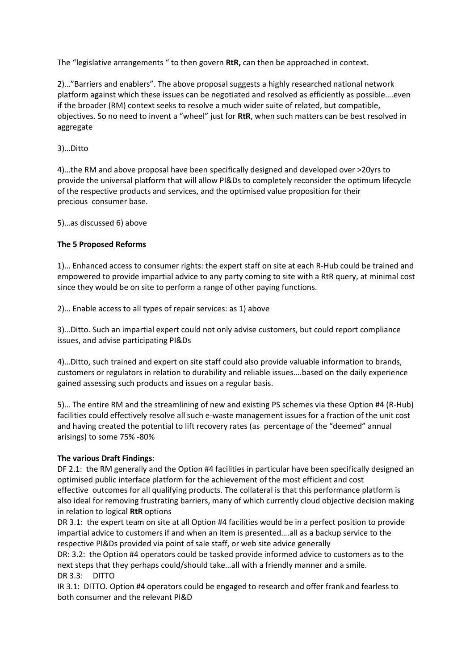The "legislative arrangements " to then govern **RtR,** can then be approached in context.

2)…"Barriers and enablers". The above proposal suggests a highly researched national network platform against which these issues can be negotiated and resolved as efficiently as possible….even if the broader (RM) context seeks to resolve a much wider suite of related, but compatible, objectives. So no need to invent a "wheel" just for **RtR**, when such matters can be best resolved in aggregate

3)…Ditto

4)…the RM and above proposal have been specifically designed and developed over >20yrs to provide the universal platform that will allow PI&Ds to completely reconsider the optimum lifecycle of the respective products and services, and the optimised value proposition for their precious consumer base.

5)…as discussed 6) above

## **The 5 Proposed Reforms**

1)… Enhanced access to consumer rights: the expert staff on site at each R-Hub could be trained and empowered to provide impartial advice to any party coming to site with a RtR query, at minimal cost since they would be on site to perform a range of other paying functions.

2)… Enable access to all types of repair services: as 1) above

3)…Ditto. Such an impartial expert could not only advise customers, but could report compliance issues, and advise participating PI&Ds

4)…Ditto, such trained and expert on site staff could also provide valuable information to brands, customers or regulators in relation to durability and reliable issues….based on the daily experience gained assessing such products and issues on a regular basis.

5)… The entire RM and the streamlining of new and existing PS schemes via these Option #4 (R-Hub) facilities could effectively resolve all such e-waste management issues for a fraction of the unit cost and having created the potential to lift recovery rates (as percentage of the "deemed" annual arisings) to some 75% -80%

## **The various Draft Findings**:

DF 2.1: the RM generally and the Option #4 facilities in particular have been specifically designed an optimised public interface platform for the achievement of the most efficient and cost effective outcomes for all qualifying products. The collateral is that this performance platform is also ideal for removing frustrating barriers, many of which currently cloud objective decision making in relation to logical **RtR** options

DR 3.1: the expert team on site at all Option #4 facilities would be in a perfect position to provide impartial advice to customers if and when an item is presented….all as a backup service to the respective PI&Ds provided via point of sale staff, or web site advice generally

DR: 3.2: the Option #4 operators could be tasked provide informed advice to customers as to the next steps that they perhaps could/should take…all with a friendly manner and a smile. DR 3.3: DITTO

IR 3.1: DITTO. Option #4 operators could be engaged to research and offer frank and fearless to both consumer and the relevant PI&D